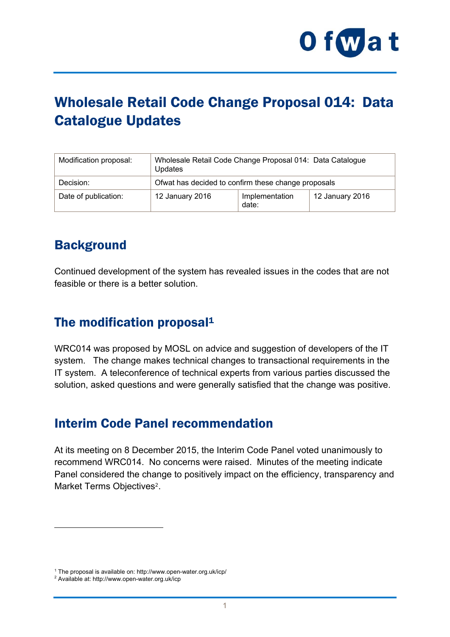

# Wholesale Retail Code Change Proposal 014: Data Catalogue Updates

| Modification proposal: | Wholesale Retail Code Change Proposal 014: Data Catalogue<br>Updates |                         |                 |
|------------------------|----------------------------------------------------------------------|-------------------------|-----------------|
| Decision:              | Of wat has decided to confirm these change proposals                 |                         |                 |
| Date of publication:   | 12 January 2016                                                      | Implementation<br>date: | 12 January 2016 |

# **Background**

Continued development of the system has revealed issues in the codes that are not feasible or there is a better solution.

### The modification proposal<sup>1</sup>

WRC014 was proposed by MOSL on advice and suggestion of developers of the IT system. The change makes technical changes to transactional requirements in the IT system. A teleconference of technical experts from various parties discussed the solution, asked questions and were generally satisfied that the change was positive.

#### Interim Code Panel recommendation

At its meeting on 8 December 2015, the Interim Code Panel voted unanimously to recommend WRC014. No concerns were raised. Minutes of the meeting indicate Panel considered the change to positively impact on the efficiency, transparency and Market Terms Objectives<sup>2</sup>.

1

<sup>&</sup>lt;sup>1</sup> The proposal is available on: http://www.open-water.org.uk/icp/<br><sup>2</sup> Available at: http://www.open-water.org.uk/icp

<sup>&</sup>lt;sup>2</sup> Available at: http://www.open-water.org.uk/icp